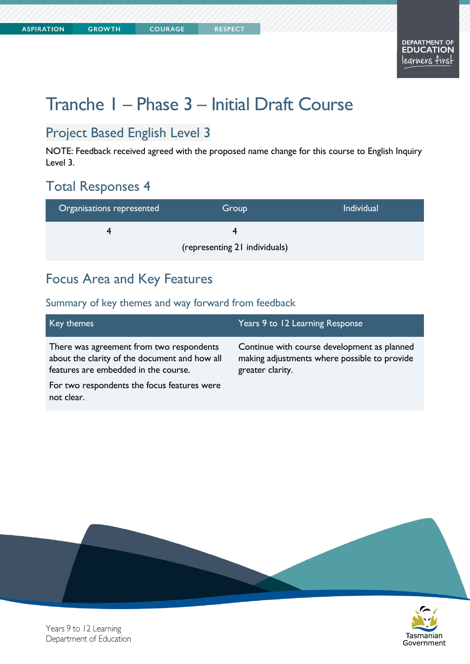**COURAGE** 

# Tranche 1 – Phase 3 – Initial Draft Course

### Project Based English Level 3

NOTE: Feedback received agreed with the proposed name change for this course to English Inquiry Level 3.

### Total Responses 4

| Organisations represented     | Group | <b>Individual</b> |
|-------------------------------|-------|-------------------|
|                               |       |                   |
| (representing 21 individuals) |       |                   |

### Focus Area and Key Features

| Key themes                                                                                                                        | Years 9 to 12 Learning Response                                                                                 |
|-----------------------------------------------------------------------------------------------------------------------------------|-----------------------------------------------------------------------------------------------------------------|
| There was agreement from two respondents<br>about the clarity of the document and how all<br>features are embedded in the course. | Continue with course development as planned<br>making adjustments where possible to provide<br>greater clarity. |
| For two respondents the focus features were<br>not clear.                                                                         |                                                                                                                 |



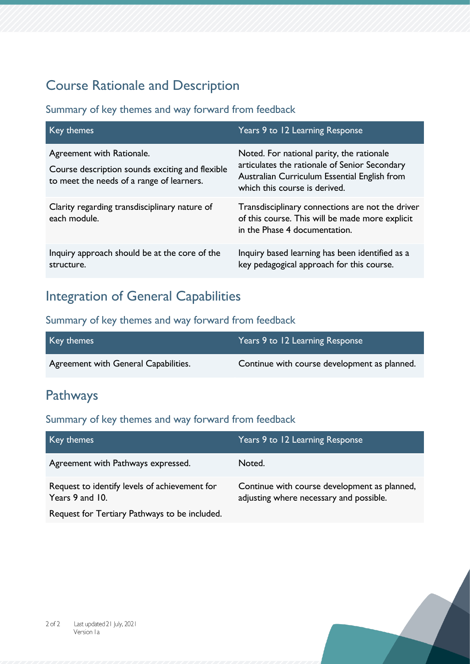# Course Rationale and Description

#### Summary of key themes and way forward from feedback

| Key themes                                                                                                                | Years 9 to 12 Learning Response                                                                                                                                             |
|---------------------------------------------------------------------------------------------------------------------------|-----------------------------------------------------------------------------------------------------------------------------------------------------------------------------|
| Agreement with Rationale.<br>Course description sounds exciting and flexible<br>to meet the needs of a range of learners. | Noted. For national parity, the rationale<br>articulates the rationale of Senior Secondary<br>Australian Curriculum Essential English from<br>which this course is derived. |
| Clarity regarding transdisciplinary nature of<br>each module.                                                             | Transdisciplinary connections are not the driver<br>of this course. This will be made more explicit<br>in the Phase 4 documentation.                                        |
| Inquiry approach should be at the core of the<br>structure.                                                               | Inquiry based learning has been identified as a<br>key pedagogical approach for this course.                                                                                |

### Integration of General Capabilities

### Summary of key themes and way forward from feedback

| Key themes                           | Years 9 to 12 Learning Response              |
|--------------------------------------|----------------------------------------------|
| Agreement with General Capabilities. | Continue with course development as planned. |

## Pathways

| Key themes,                                                      | Years 9 to 12 Learning Response                                                         |
|------------------------------------------------------------------|-----------------------------------------------------------------------------------------|
| Agreement with Pathways expressed.                               | Noted.                                                                                  |
| Request to identify levels of achievement for<br>Years 9 and 10. | Continue with course development as planned,<br>adjusting where necessary and possible. |
| Request for Tertiary Pathways to be included.                    |                                                                                         |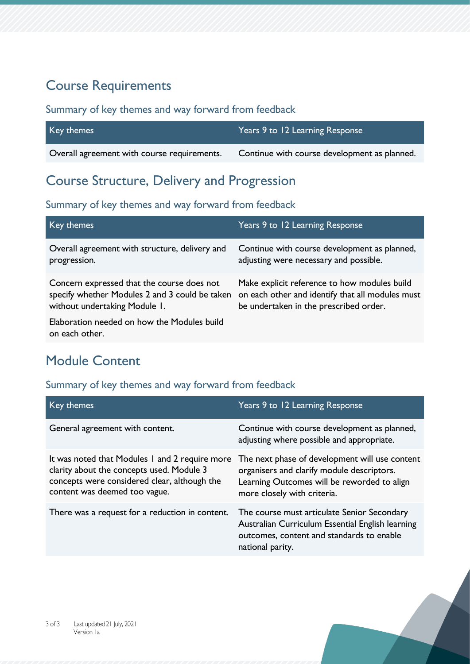### Course Requirements

#### Summary of key themes and way forward from feedback

| Key themes                                  | Years 9 to 12 Learning Response              |
|---------------------------------------------|----------------------------------------------|
| Overall agreement with course requirements. | Continue with course development as planned. |

Course Structure, Delivery and Progression

#### Summary of key themes and way forward from feedback

| Key themes                                                    | Years 9 to 12 Learning Response                  |
|---------------------------------------------------------------|--------------------------------------------------|
| Overall agreement with structure, delivery and                | Continue with course development as planned,     |
| progression.                                                  | adjusting were necessary and possible.           |
| Concern expressed that the course does not                    | Make explicit reference to how modules build     |
| specify whether Modules 2 and 3 could be taken                | on each other and identify that all modules must |
| without undertaking Module 1.                                 | be undertaken in the prescribed order.           |
| Elaboration needed on how the Modules build<br>on each other. |                                                  |

## Module Content

| Key themes                                                                                                                                                                   | Years 9 to 12 Learning Response                                                                                                                                            |
|------------------------------------------------------------------------------------------------------------------------------------------------------------------------------|----------------------------------------------------------------------------------------------------------------------------------------------------------------------------|
| General agreement with content.                                                                                                                                              | Continue with course development as planned,<br>adjusting where possible and appropriate.                                                                                  |
| It was noted that Modules I and 2 require more<br>clarity about the concepts used. Module 3<br>concepts were considered clear, although the<br>content was deemed too vague. | The next phase of development will use content<br>organisers and clarify module descriptors.<br>Learning Outcomes will be reworded to align<br>more closely with criteria. |
| There was a request for a reduction in content.                                                                                                                              | The course must articulate Senior Secondary<br>Australian Curriculum Essential English learning<br>outcomes, content and standards to enable<br>national parity.           |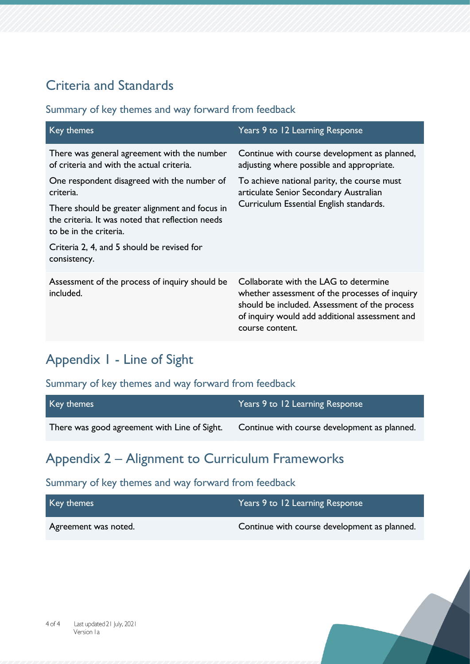## Criteria and Standards

#### Summary of key themes and way forward from feedback

| Key themes                                                                                                                   | Years 9 to 12 Learning Response                                                                                                                                                                               |
|------------------------------------------------------------------------------------------------------------------------------|---------------------------------------------------------------------------------------------------------------------------------------------------------------------------------------------------------------|
| There was general agreement with the number<br>of criteria and with the actual criteria.                                     | Continue with course development as planned,<br>adjusting where possible and appropriate.                                                                                                                     |
| One respondent disagreed with the number of<br>criteria.                                                                     | To achieve national parity, the course must<br>articulate Senior Secondary Australian                                                                                                                         |
| There should be greater alignment and focus in<br>the criteria. It was noted that reflection needs<br>to be in the criteria. | Curriculum Essential English standards.                                                                                                                                                                       |
| Criteria 2, 4, and 5 should be revised for<br>consistency.                                                                   |                                                                                                                                                                                                               |
| Assessment of the process of inquiry should be<br>included.                                                                  | Collaborate with the LAG to determine<br>whether assessment of the processes of inquiry<br>should be included. Assessment of the process<br>of inquiry would add additional assessment and<br>course content. |

## Appendix 1 - Line of Sight

#### Summary of key themes and way forward from feedback

| Key themes                                   | Years 9 to 12 Learning Response              |
|----------------------------------------------|----------------------------------------------|
| There was good agreement with Line of Sight. | Continue with course development as planned. |

# Appendix 2 – Alignment to Curriculum Frameworks

| Key themes           | Years 9 to 12 Learning Response              |
|----------------------|----------------------------------------------|
| Agreement was noted. | Continue with course development as planned. |